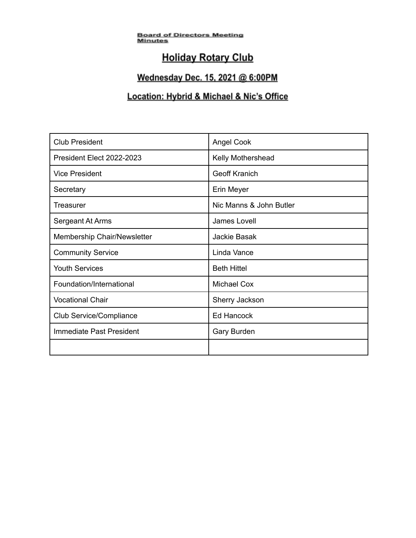<u>Board of Directors Meeting</u><br><u>Minutes</u>

# **Holiday Rotary Club**

### Wednesday Dec. 15, 2021 @ 6:00PM

### Location: Hybrid & Michael & Nic's Office

| <b>Club President</b>       | <b>Angel Cook</b>       |
|-----------------------------|-------------------------|
| President Elect 2022-2023   | Kelly Mothershead       |
| <b>Vice President</b>       | <b>Geoff Kranich</b>    |
| Secretary                   | Erin Meyer              |
| <b>Treasurer</b>            | Nic Manns & John Butler |
| Sergeant At Arms            | James Lovell            |
| Membership Chair/Newsletter | Jackie Basak            |
| <b>Community Service</b>    | Linda Vance             |
| <b>Youth Services</b>       | <b>Beth Hittel</b>      |
| Foundation/International    | <b>Michael Cox</b>      |
| <b>Vocational Chair</b>     | Sherry Jackson          |
| Club Service/Compliance     | <b>Ed Hancock</b>       |
| Immediate Past President    | <b>Gary Burden</b>      |
|                             |                         |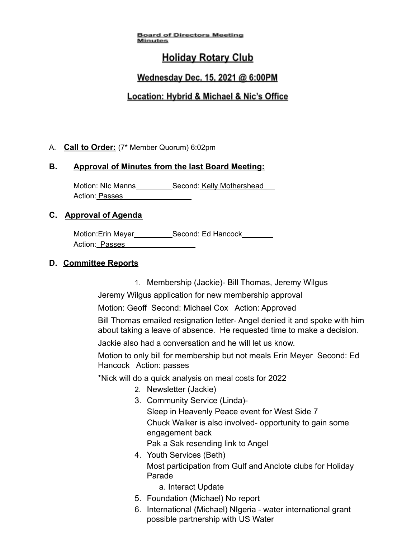### **Holiday Rotary Club**

### Wednesday Dec. 15, 2021 @ 6:00PM

### Location: Hybrid & Michael & Nic's Office

#### A. **Call to Order:** (7\* Member Quorum) 6:02pm

#### **B. Approval of Minutes from the last Board Meeting:**

Motion: NIc Manns Second: Kelly Mothershead Action: Passes

#### **C. Approval of Agenda**

Motion:Erin Meyer\_\_\_\_\_\_\_\_\_\_\_\_Second: Ed Hancock\_\_\_\_\_\_\_\_ Action: Passes

#### **D. Committee Reports**

1. Membership (Jackie)- Bill Thomas, Jeremy Wilgus

Jeremy Wilgus application for new membership approval

Motion: Geoff Second: Michael Cox Action: Approved

Bill Thomas emailed resignation letter- Angel denied it and spoke with him about taking a leave of absence. He requested time to make a decision.

Jackie also had a conversation and he will let us know.

Motion to only bill for membership but not meals Erin Meyer Second: Ed Hancock Action: passes

\*Nick will do a quick analysis on meal costs for 2022

- 2. Newsletter (Jackie)
- 3. Community Service (Linda)- Sleep in Heavenly Peace event for West Side 7 Chuck Walker is also involved- opportunity to gain some engagement back Pak a Sak resending link to Angel
- 4. Youth Services (Beth) Most participation from Gulf and Anclote clubs for Holiday Parade

a. Interact Update

- 5. Foundation (Michael) No report
- 6. International (Michael) NIgeria water international grant possible partnership with US Water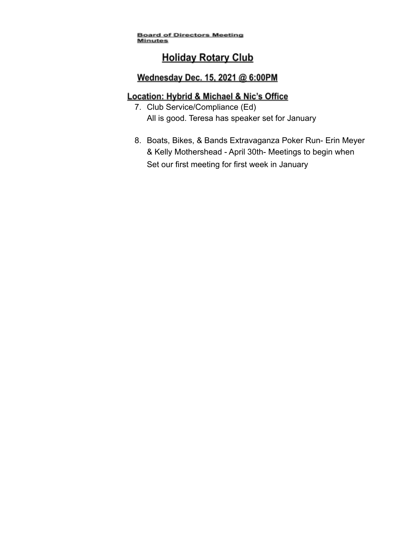# **Holiday Rotary Club**

### Wednesday Dec. 15, 2021 @ 6:00PM

### Location: Hybrid & Michael & Nic's Office

- 7. Club Service/Compliance (Ed) All is good. Teresa has speaker set for January
- 8. Boats, Bikes, & Bands Extravaganza Poker Run- Erin Meyer & Kelly Mothershead - April 30th- Meetings to begin when Set our first meeting for first week in January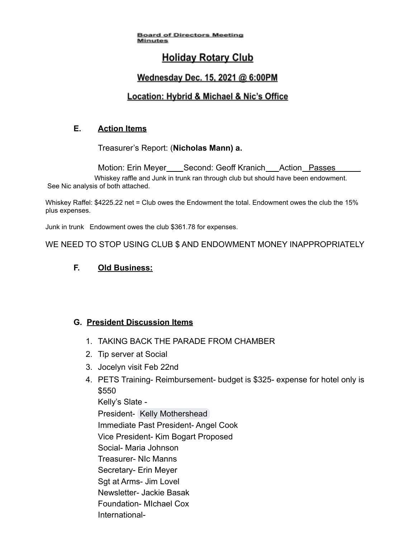## **Holiday Rotary Club**

### Wednesday Dec. 15, 2021 @ 6:00PM

### Location: Hybrid & Michael & Nic's Office

### **E. Action Items**

Treasurer's Report: (**Nicholas Mann) a.**

Motion: Erin Meyer\_\_\_\_Second: Geoff Kranich\_\_\_Action\_Passes Whiskey raffle and Junk in trunk ran through club but should have been endowment. See Nic analysis of both attached.

Whiskey Raffel: \$4225.22 net = Club owes the Endowment the total. Endowment owes the club the 15% plus expenses.

Junk in trunk Endowment owes the club \$361.78 for expenses.

WE NEED TO STOP USING CLUB \$ AND ENDOWMENT MONEY INAPPROPRIATELY

### **F. Old Business:**

### **G. President Discussion Items**

- 1. TAKING BACK THE PARADE FROM CHAMBER
- 2. Tip server at Social
- 3. Jocelyn visit Feb 22nd
- 4. PETS Training- Reimbursement- budget is \$325- expense for hotel only is \$550 Kelly's Slate -
	- President- [Kelly Mothershead](mailto:jonesk296@gmail.com)
	- Immediate Past President- Angel Cook
	- Vice President- Kim Bogart Proposed
	- Social- Maria Johnson
	- Treasurer- NIc Manns
	- Secretary- Erin Meyer
	- Sgt at Arms- Jim Lovel
	- Newsletter- Jackie Basak
	- Foundation- MIchael Cox
	- International-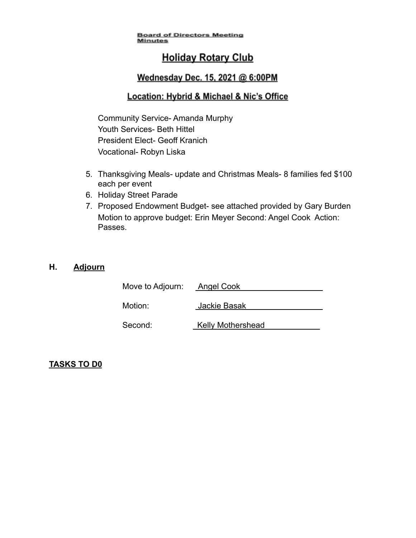## **Holiday Rotary Club**

### Wednesday Dec. 15, 2021 @ 6:00PM

### Location: Hybrid & Michael & Nic's Office

Community Service- Amanda Murphy Youth Services- Beth Hittel President Elect- Geoff Kranich Vocational- Robyn Liska

- 5. Thanksgiving Meals- update and Christmas Meals- 8 families fed \$100 each per event
- 6. Holiday Street Parade
- 7. Proposed Endowment Budget- see attached provided by Gary Burden Motion to approve budget: Erin Meyer Second: Angel Cook Action: Passes.

### **H. Adjourn**

| Move to Adjourn: | <b>Angel Cook</b>        |
|------------------|--------------------------|
| Motion:          | Jackie Basak             |
| Second:          | <b>Kelly Mothershead</b> |

### **TASKS TO D0**